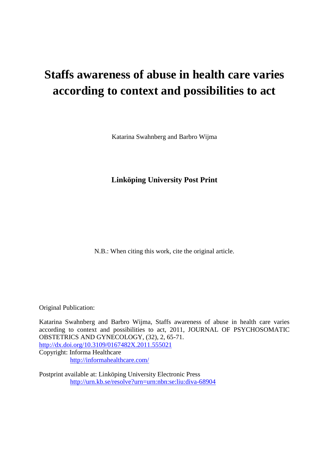# **Staffs awareness of abuse in health care varies according to context and possibilities to act**

Katarina Swahnberg and Barbro Wijma

# **Linköping University Post Print**

N.B.: When citing this work, cite the original article.

Original Publication:

Katarina Swahnberg and Barbro Wijma, Staffs awareness of abuse in health care varies according to context and possibilities to act, 2011, JOURNAL OF PSYCHOSOMATIC OBSTETRICS AND GYNECOLOGY, (32), 2, 65-71. <http://dx.doi.org/10.3109/0167482X.2011.555021> Copyright: Informa Healthcare <http://informahealthcare.com/>

Postprint available at: Linköping University Electronic Press <http://urn.kb.se/resolve?urn=urn:nbn:se:liu:diva-68904>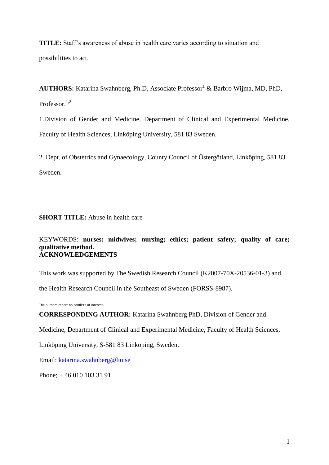**TITLE:** Staff"s awareness of abuse in health care varies according to situation and possibilities to act.

**AUTHORS:** Katarina Swahnberg, Ph.D, Associate Professor<sup>1</sup> & Barbro Wijma, MD, PhD, Professor.<sup>1,2</sup>

1.Division of Gender and Medicine, Department of Clinical and Experimental Medicine, Faculty of Health Sciences, Linköping University, 581 83 Sweden.

2. Dept. of Obstetrics and Gynaecology, County Council of Östergötland, Linköping, 581 83 Sweden.

# **SHORT TITLE:** Abuse in health care

# KEYWORDS: **nurses; midwives; nursing; ethics; patient safety; quality of care; qualitative method. ACKNOWLEDGEMENTS**

This work was supported by The Swedish Research Council (K2007-70X-20536-01-3) and

the Health Research Council in the Southeast of Sweden (FORSS-8987).

The authors report no conflicts of interest.

**CORRESPONDING AUTHOR:** Katarina Swahnberg PhD, Division of Gender and

Medicine, Department of Clinical and Experimental Medicine, Faculty of Health Sciences,

Linköping University, S-581 83 Linköping, Sweden.

Email: [katarina.swahnberg@liu.se](mailto:katarina.swahnberg@liu.se)

Phone; + 46 010 103 31 91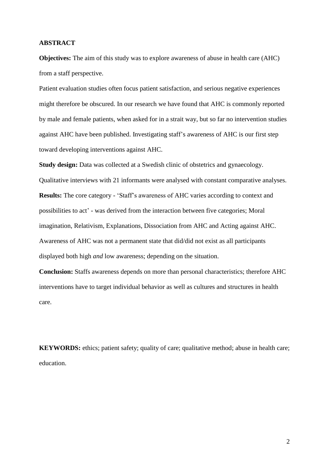# **ABSTRACT**

**Objectives:** The aim of this study was to explore awareness of abuse in health care (AHC) from a staff perspective.

Patient evaluation studies often focus patient satisfaction, and serious negative experiences might therefore be obscured. In our research we have found that AHC is commonly reported by male and female patients, when asked for in a strait way, but so far no intervention studies against AHC have been published. Investigating staff"s awareness of AHC is our first step toward developing interventions against AHC.

**Study design:** Data was collected at a Swedish clinic of obstetrics and gynaecology. Qualitative interviews with 21 informants were analysed with constant comparative analyses. **Results:** The core category - 'Staff's awareness of AHC varies according to context and possibilities to act" - was derived from the interaction between five categories; Moral imagination, Relativism, Explanations, Dissociation from AHC and Acting against AHC. Awareness of AHC was not a permanent state that did/did not exist as all participants displayed both high *and* low awareness; depending on the situation.

**Conclusion:** Staffs awareness depends on more than personal characteristics; therefore AHC interventions have to target individual behavior as well as cultures and structures in health care.

**KEYWORDS:** ethics; patient safety; quality of care; qualitative method; abuse in health care; education.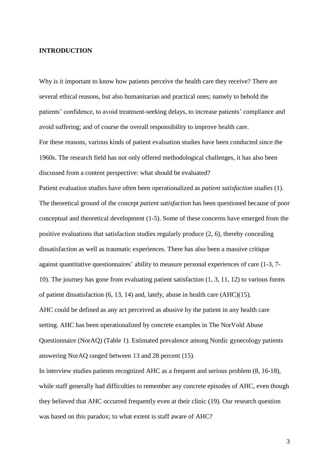#### **INTRODUCTION**

Why is it important to know how patients perceive the health care they receive? There are several ethical reasons, but also humanitarian and practical ones; namely to behold the patients' confidence, to avoid treatment-seeking delays, to increase patients' compliance and avoid suffering; and of course the overall responsibility to improve health care.

For these reasons, various kinds of patient evaluation studies have been conducted since the 1960s. The research field has not only offered methodological challenges, it has also been discussed from a content perspective: what should be evaluated?

Patient evaluation studies have often been operationalized as *patient satisfaction studies* (1). The theoretical ground of the concept *patient satisfaction* has been questioned because of poor conceptual and theoretical development (1-5). Some of these concerns have emerged from the positive evaluations that satisfaction studies regularly produce (2, 6), thereby concealing dissatisfaction as well as traumatic experiences. There has also been a massive critique against quantitative questionnaires' ability to measure personal experiences of care (1-3, 7-10). The journey has gone from evaluating patient satisfaction (1, 3, 11, 12) to various forms of patient dissatisfaction (6, 13, 14) and, lately, abuse in health care (AHC)(15). AHC could be defined as any act perceived as abusive by the patient in any health care setting. AHC has been operationalized by concrete examples in The NorVold Abuse Questionnaire (NorAQ) (Table 1). Estimated prevalence among Nordic gynecology patients answering NorAQ ranged between 13 and 28 percent (15).

In interview studies patients recognized AHC as a frequent and serious problem (8, 16-18), while staff generally had difficulties to remember any concrete episodes of AHC, even though they believed that AHC occurred frequently even at their clinic (19). Our research question was based on this paradox; to what extent is staff aware of AHC?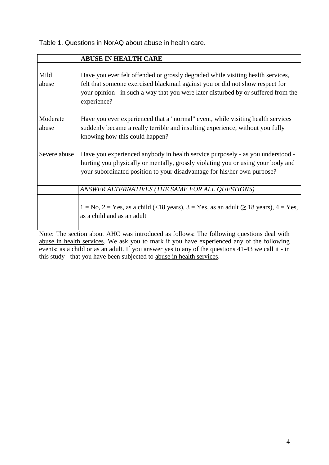|                   | <b>ABUSE IN HEALTH CARE</b>                                                                                                                                                                                                                                           |
|-------------------|-----------------------------------------------------------------------------------------------------------------------------------------------------------------------------------------------------------------------------------------------------------------------|
| Mild<br>abuse     | Have you ever felt offended or grossly degraded while visiting health services,<br>felt that someone exercised blackmail against you or did not show respect for<br>your opinion - in such a way that you were later disturbed by or suffered from the<br>experience? |
| Moderate<br>abuse | Have you ever experienced that a "normal" event, while visiting health services<br>suddenly became a really terrible and insulting experience, without you fully<br>knowing how this could happen?                                                                    |
| Severe abuse      | Have you experienced anybody in health service purposely - as you understood -<br>hurting you physically or mentally, grossly violating you or using your body and<br>your subordinated position to your disadvantage for his/her own purpose?                        |
|                   | ANSWER ALTERNATIVES (THE SAME FOR ALL QUESTIONS)                                                                                                                                                                                                                      |
|                   | $1 = No$ , $2 = Yes$ , as a child (<18 years), $3 = Yes$ , as an adult ( $\geq 18$ years), $4 = Yes$ ,<br>as a child and as an adult                                                                                                                                  |

Table 1. Questions in NorAQ about abuse in health care.

Note: The section about AHC was introduced as follows: The following questions deal with abuse in health services. We ask you to mark if you have experienced any of the following events; as a child or as an adult. If you answer yes to any of the questions 41-43 we call it - in this study - that you have been subjected to abuse in health services.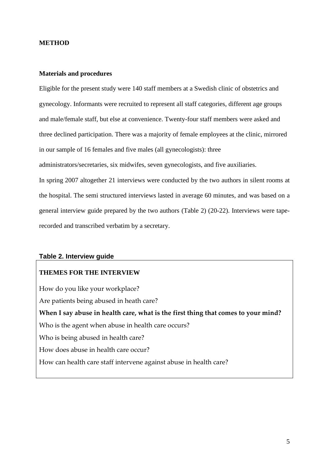# **METHOD**

#### **Materials and procedures**

Eligible for the present study were 140 staff members at a Swedish clinic of obstetrics and gynecology. Informants were recruited to represent all staff categories, different age groups and male/female staff, but else at convenience. Twenty-four staff members were asked and three declined participation. There was a majority of female employees at the clinic, mirrored in our sample of 16 females and five males (all gynecologists): three administrators/secretaries, six midwifes, seven gynecologists, and five auxiliaries. In spring 2007 altogether 21 interviews were conducted by the two authors in silent rooms at the hospital. The semi structured interviews lasted in average 60 minutes, and was based on a general interview guide prepared by the two authors (Table 2) (20-22). Interviews were taperecorded and transcribed verbatim by a secretary.

# **Table 2. Interview guide**

# **THEMES FOR THE INTERVIEW**

How do you like your workplace? Are patients being abused in heath care? **When I say abuse in health care, what is the first thing that comes to your mind?** Who is the agent when abuse in health care occurs? Who is being abused in health care? How does abuse in health care occur? How can health care staff intervene against abuse in health care?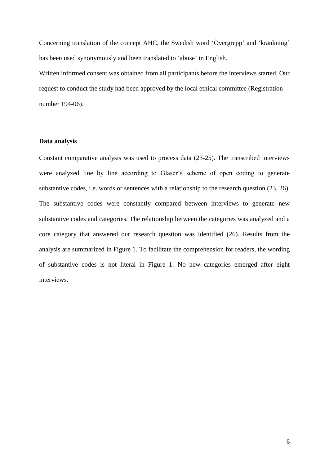Concerning translation of the concept AHC, the Swedish word 'Övergrepp' and 'kränkning' has been used synonymously and been translated to 'abuse' in English.

Written informed consent was obtained from all participants before the interviews started. Our request to conduct the study had been approved by the local ethical committee (Registration number 194-06).

# **Data analysis**

Constant comparative analysis was used to process data (23-25). The transcribed interviews were analyzed line by line according to Glaser's scheme of open coding to generate substantive codes, i.e. words or sentences with a relationship to the research question (23, 26). The substantive codes were constantly compared between interviews to generate new substantive codes and categories. The relationship between the categories was analyzed and a core category that answered our research question was identified (26). Results from the analysis are summarized in Figure 1. To facilitate the comprehension for readers, the wording of substantive codes is not literal in Figure 1. No new categories emerged after eight interviews.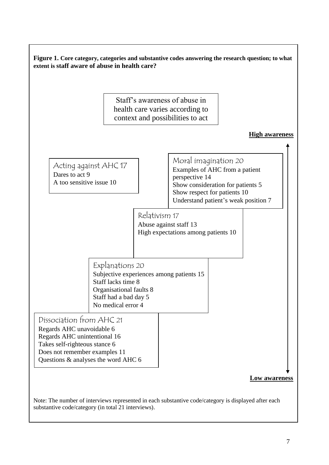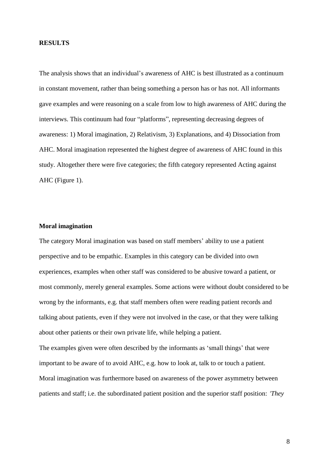# **RESULTS**

The analysis shows that an individual's awareness of AHC is best illustrated as a continuum in constant movement, rather than being something a person has or has not. All informants gave examples and were reasoning on a scale from low to high awareness of AHC during the interviews. This continuum had four "platforms", representing decreasing degrees of awareness: 1) Moral imagination, 2) Relativism, 3) Explanations, and 4) Dissociation from AHC. Moral imagination represented the highest degree of awareness of AHC found in this study. Altogether there were five categories; the fifth category represented Acting against AHC (Figure 1).

# **Moral imagination**

The category Moral imagination was based on staff members' ability to use a patient perspective and to be empathic. Examples in this category can be divided into own experiences, examples when other staff was considered to be abusive toward a patient, or most commonly, merely general examples. Some actions were without doubt considered to be wrong by the informants, e.g. that staff members often were reading patient records and talking about patients, even if they were not involved in the case, or that they were talking about other patients or their own private life, while helping a patient.

The examples given were often described by the informants as 'small things' that were important to be aware of to avoid AHC, e.g. how to look at, talk to or touch a patient. Moral imagination was furthermore based on awareness of the power asymmetry between patients and staff; i.e. the subordinated patient position and the superior staff position: *'They*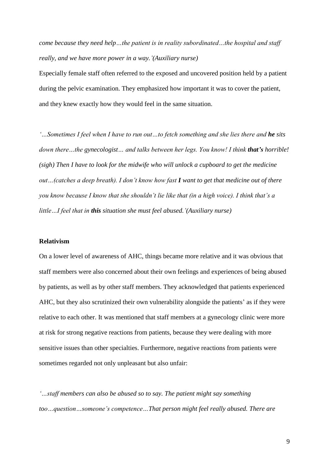*come because they need help…the patient is in reality subordinated…the hospital and staff really, and we have more power in a way.'(Auxiliary nurse)*

Especially female staff often referred to the exposed and uncovered position held by a patient during the pelvic examination. They emphasized how important it was to cover the patient, and they knew exactly how they would feel in the same situation.

*'...Sometimes I feel when I have to run out...to fetch something and she lies there and he sits down there*…the gynecologist… and talks between her legs. You know! I think **that's** horrible! *(sigh) Then I have to look for the midwife who will unlock a cupboard to get the medicine out…(catches a deep breath). I don't know how fast I want to get that medicine out of there you know because I know that she shouldn't lie like that (in a high voice). I think that's a little…I feel that in this situation she must feel abused.'(Auxiliary nurse)*

# **Relativism**

On a lower level of awareness of AHC, things became more relative and it was obvious that staff members were also concerned about their own feelings and experiences of being abused by patients, as well as by other staff members. They acknowledged that patients experienced AHC, but they also scrutinized their own vulnerability alongside the patients' as if they were relative to each other. It was mentioned that staff members at a gynecology clinic were more at risk for strong negative reactions from patients, because they were dealing with more sensitive issues than other specialties. Furthermore, negative reactions from patients were sometimes regarded not only unpleasant but also unfair:

*'…staff members can also be abused so to say. The patient might say something too…question…someone's competence…That person might feel really abused. There are*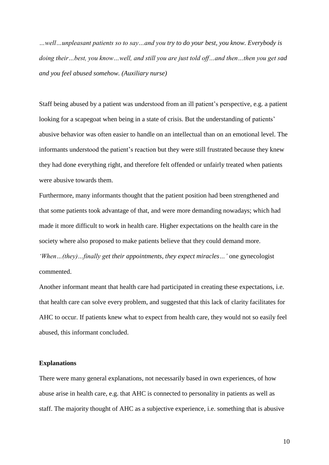*…well…unpleasant patients so to say…and you try to do your best, you know. Everybody is doing their…best, you know…well, and still you are just told off…and then…then you get sad and you feel abused somehow. (Auxiliary nurse)*

Staff being abused by a patient was understood from an ill patient's perspective, e.g. a patient looking for a scapegoat when being in a state of crisis. But the understanding of patients' abusive behavior was often easier to handle on an intellectual than on an emotional level. The informants understood the patient"s reaction but they were still frustrated because they knew they had done everything right, and therefore felt offended or unfairly treated when patients were abusive towards them.

Furthermore, many informants thought that the patient position had been strengthened and that some patients took advantage of that, and were more demanding nowadays; which had made it more difficult to work in health care. Higher expectations on the health care in the society where also proposed to make patients believe that they could demand more. *'When…(they)…finally get their appointments, they expect miracles…'* one gynecologist commented.

Another informant meant that health care had participated in creating these expectations, i.e. that health care can solve every problem, and suggested that this lack of clarity facilitates for AHC to occur. If patients knew what to expect from health care, they would not so easily feel abused, this informant concluded.

## **Explanations**

There were many general explanations, not necessarily based in own experiences, of how abuse arise in health care, e.g. that AHC is connected to personality in patients as well as staff. The majority thought of AHC as a subjective experience, i.e. something that is abusive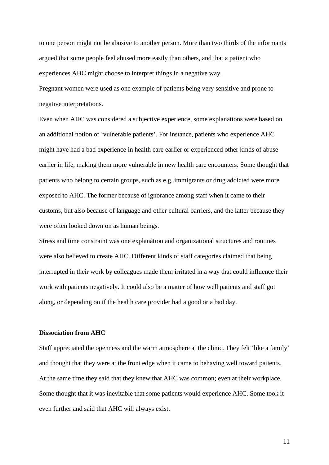to one person might not be abusive to another person. More than two thirds of the informants argued that some people feel abused more easily than others, and that a patient who experiences AHC might choose to interpret things in a negative way.

Pregnant women were used as one example of patients being very sensitive and prone to negative interpretations.

Even when AHC was considered a subjective experience, some explanations were based on an additional notion of "vulnerable patients". For instance, patients who experience AHC might have had a bad experience in health care earlier or experienced other kinds of abuse earlier in life, making them more vulnerable in new health care encounters. Some thought that patients who belong to certain groups, such as e.g. immigrants or drug addicted were more exposed to AHC. The former because of ignorance among staff when it came to their customs, but also because of language and other cultural barriers, and the latter because they were often looked down on as human beings.

Stress and time constraint was one explanation and organizational structures and routines were also believed to create AHC. Different kinds of staff categories claimed that being interrupted in their work by colleagues made them irritated in a way that could influence their work with patients negatively. It could also be a matter of how well patients and staff got along, or depending on if the health care provider had a good or a bad day.

# **Dissociation from AHC**

Staff appreciated the openness and the warm atmosphere at the clinic. They felt "like a family" and thought that they were at the front edge when it came to behaving well toward patients. At the same time they said that they knew that AHC was common; even at their workplace. Some thought that it was inevitable that some patients would experience AHC. Some took it even further and said that AHC will always exist.

11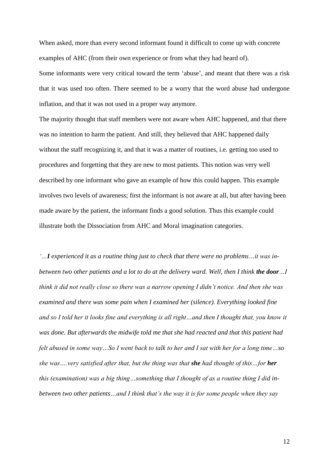When asked, more than every second informant found it difficult to come up with concrete examples of AHC (from their own experience or from what they had heard of). Some informants were very critical toward the term "abuse", and meant that there was a risk that it was used too often. There seemed to be a worry that the word abuse had undergone inflation, and that it was not used in a proper way anymore.

The majority thought that staff members were not aware when AHC happened, and that there was no intention to harm the patient. And still, they believed that AHC happened daily without the staff recognizing it, and that it was a matter of routines, i.e. getting too used to procedures and forgetting that they are new to most patients. This notion was very well described by one informant who gave an example of how this could happen. This example involves two levels of awareness; first the informant is not aware at all, but after having been made aware by the patient, the informant finds a good solution. Thus this example could illustrate both the Dissociation from AHC and Moral imagination categories.

*'…I experienced it as a routine thing just to check that there were no problems…it was inbetween two other patients and a lot to do at the delivery ward. Well, then I think the door* ... *I think it did not really close so there was a narrow opening I didn't notice. And then she was examined and there was some pain when I examined her (silence). Everything looked fine and so I told her it looks fine and everything is all right…and then I thought that, you know it was done. But afterwards the midwife told me that she had reacted and that this patient had felt abused in some way…So I went back to talk to her and I sat with her for a long time…so she was….very satisfied after that, but the thing was that she had thought of this…for her this (examination) was a big thing…something that I thought of as a routine thing I did inbetween two other patients…and I think that's the way it is for some people when they say*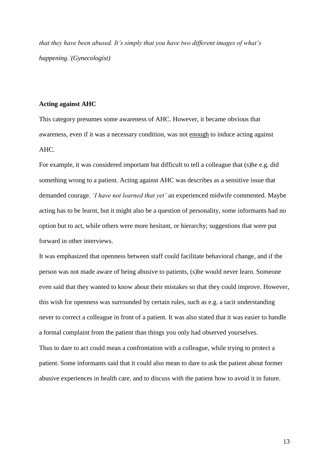*that they have been abused. It's simply that you have two different images of what's happening.'(Gynecologist)*

## **Acting against AHC**

This category presumes some awareness of AHC. However, it became obvious that awareness, even if it was a necessary condition, was not enough to induce acting against AHC.

For example, it was considered important but difficult to tell a colleague that (s)he e.g. did something wrong to a patient. Acting against AHC was describes as a sensitive issue that demanded courage. *'I have not learned that yet'* an experienced midwife commented. Maybe acting has to be learnt, but it might also be a question of personality, some informants had no option but to act, while others were more hesitant, or hierarchy; suggestions that were put forward in other interviews.

It was emphasized that openness between staff could facilitate behavioral change, and if the person was not made aware of being abusive to patients, (s)he would never learn. Someone even said that they wanted to know about their mistakes so that they could improve. However, this wish for openness was surrounded by certain rules, such as e.g. a tacit understanding never to correct a colleague in front of a patient. It was also stated that it was easier to handle a formal complaint from the patient than things you only had observed yourselves. Thus to dare to act could mean a confrontation with a colleague, while trying to protect a patient. Some informants said that it could also mean to dare to ask the patient about former abusive experiences in health care, and to discuss with the patient how to avoid it in future.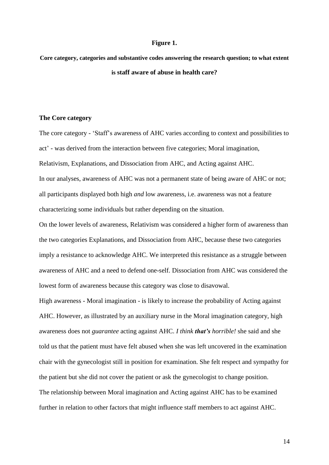#### **Figure 1.**

**Core category, categories and substantive codes answering the research question; to what extent is staff aware of abuse in health care?**

#### **The Core category**

The core category - "Staff"s awareness of AHC varies according to context and possibilities to act" - was derived from the interaction between five categories; Moral imagination, Relativism, Explanations, and Dissociation from AHC, and Acting against AHC. In our analyses, awareness of AHC was not a permanent state of being aware of AHC or not; all participants displayed both high *and* low awareness, i.e. awareness was not a feature characterizing some individuals but rather depending on the situation.

On the lower levels of awareness, Relativism was considered a higher form of awareness than the two categories Explanations, and Dissociation from AHC, because these two categories imply a resistance to acknowledge AHC. We interpreted this resistance as a struggle between awareness of AHC and a need to defend one-self. Dissociation from AHC was considered the lowest form of awareness because this category was close to disavowal.

High awareness - Moral imagination - is likely to increase the probability of Acting against AHC. However, as illustrated by an auxiliary nurse in the Moral imagination category, high awareness does not *guarantee* acting against AHC. *I think that's horrible!* she said and she told us that the patient must have felt abused when she was left uncovered in the examination chair with the gynecologist still in position for examination. She felt respect and sympathy for the patient but she did not cover the patient or ask the gynecologist to change position. The relationship between Moral imagination and Acting against AHC has to be examined further in relation to other factors that might influence staff members to act against AHC.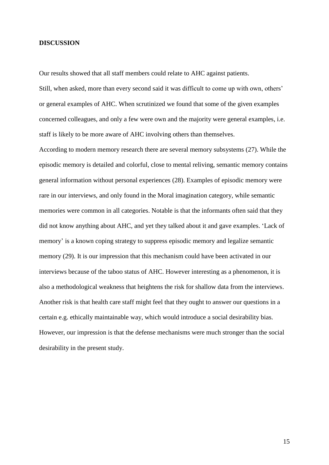## **DISCUSSION**

Our results showed that all staff members could relate to AHC against patients.

Still, when asked, more than every second said it was difficult to come up with own, others' or general examples of AHC. When scrutinized we found that some of the given examples concerned colleagues, and only a few were own and the majority were general examples, i.e. staff is likely to be more aware of AHC involving others than themselves.

According to modern memory research there are several memory subsystems (27). While the episodic memory is detailed and colorful, close to mental reliving, semantic memory contains general information without personal experiences (28). Examples of episodic memory were rare in our interviews, and only found in the Moral imagination category, while semantic memories were common in all categories. Notable is that the informants often said that they did not know anything about AHC, and yet they talked about it and gave examples. "Lack of memory' is a known coping strategy to suppress episodic memory and legalize semantic memory (29). It is our impression that this mechanism could have been activated in our interviews because of the taboo status of AHC. However interesting as a phenomenon, it is also a methodological weakness that heightens the risk for shallow data from the interviews. Another risk is that health care staff might feel that they ought to answer our questions in a certain e.g. ethically maintainable way, which would introduce a social desirability bias. However, our impression is that the defense mechanisms were much stronger than the social desirability in the present study.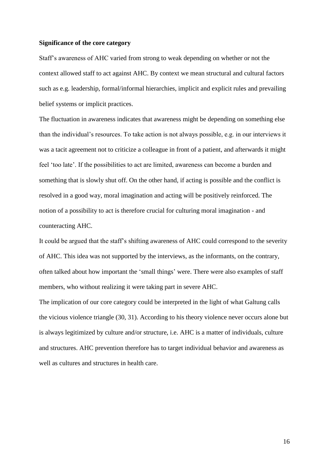# **Significance of the core category**

Staff"s awareness of AHC varied from strong to weak depending on whether or not the context allowed staff to act against AHC. By context we mean structural and cultural factors such as e.g. leadership, formal/informal hierarchies, implicit and explicit rules and prevailing belief systems or implicit practices.

The fluctuation in awareness indicates that awareness might be depending on something else than the individual"s resources. To take action is not always possible, e.g. in our interviews it was a tacit agreement not to criticize a colleague in front of a patient, and afterwards it might feel "too late". If the possibilities to act are limited, awareness can become a burden and something that is slowly shut off. On the other hand, if acting is possible and the conflict is resolved in a good way, moral imagination and acting will be positively reinforced. The notion of a possibility to act is therefore crucial for culturing moral imagination - and counteracting AHC.

It could be argued that the staff"s shifting awareness of AHC could correspond to the severity of AHC. This idea was not supported by the interviews, as the informants, on the contrary, often talked about how important the "small things" were. There were also examples of staff members, who without realizing it were taking part in severe AHC.

The implication of our core category could be interpreted in the light of what Galtung calls the vicious violence triangle (30, 31). According to his theory violence never occurs alone but is always legitimized by culture and/or structure, i.e. AHC is a matter of individuals, culture and structures. AHC prevention therefore has to target individual behavior and awareness as well as cultures and structures in health care.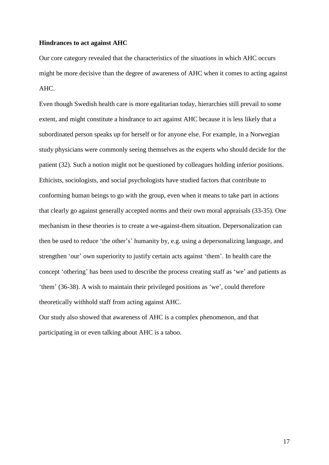### **Hindrances to act against AHC**

Our core category revealed that the characteristics of the *situations* in which AHC occurs might be more decisive than the degree of awareness of AHC when it comes to acting against AHC.

Even though Swedish health care is more egalitarian today, hierarchies still prevail to some extent, and might constitute a hindrance to act against AHC because it is less likely that a subordinated person speaks up for herself or for anyone else. For example, in a Norwegian study physicians were commonly seeing themselves as the experts who should decide for the patient (32). Such a notion might not be questioned by colleagues holding inferior positions. Ethicists, sociologists, and social psychologists have studied factors that contribute to conforming human beings to go with the group, even when it means to take part in actions that clearly go against generally accepted norms and their own moral appraisals (33-35). One mechanism in these theories is to create a we-against-them situation. Depersonalization can then be used to reduce "the other"s" humanity by, e.g. using a depersonalizing language, and strengthen "our" own superiority to justify certain acts against "them". In health care the concept 'othering' has been used to describe the process creating staff as 'we' and patients as 'them' (36-38). A wish to maintain their privileged positions as 'we', could therefore theoretically withhold staff from acting against AHC.

Our study also showed that awareness of AHC is a complex phenomenon, and that participating in or even talking about AHC is a taboo.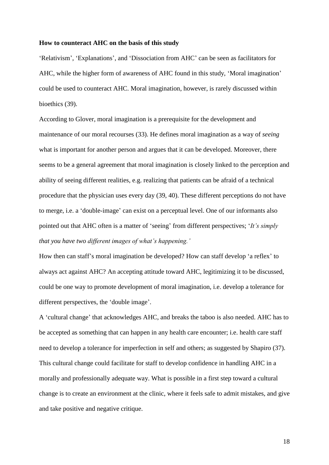#### **How to counteract AHC on the basis of this study**

"Relativism", "Explanations", and "Dissociation from AHC" can be seen as facilitators for AHC, while the higher form of awareness of AHC found in this study, "Moral imagination" could be used to counteract AHC. Moral imagination, however, is rarely discussed within bioethics (39).

According to Glover, moral imagination is a prerequisite for the development and maintenance of our moral recourses (33). He defines moral imagination as a way of *seeing* what is important for another person and argues that it can be developed. Moreover, there seems to be a general agreement that moral imagination is closely linked to the perception and ability of seeing different realities, e.g. realizing that patients can be afraid of a technical procedure that the physician uses every day (39, 40). These different perceptions do not have to merge, i.e. a "double-image" can exist on a perceptual level. One of our informants also pointed out that AHC often is a matter of "seeing" from different perspectives; "*It's simply that you have two different images of what's happening.'*

How then can staff"s moral imagination be developed? How can staff develop "a reflex" to always act against AHC? An accepting attitude toward AHC, legitimizing it to be discussed, could be one way to promote development of moral imagination, i.e. develop a tolerance for different perspectives, the 'double image'.

A "cultural change" that acknowledges AHC, and breaks the taboo is also needed. AHC has to be accepted as something that can happen in any health care encounter; i.e. health care staff need to develop a tolerance for imperfection in self and others; as suggested by Shapiro (37). This cultural change could facilitate for staff to develop confidence in handling AHC in a morally and professionally adequate way. What is possible in a first step toward a cultural change is to create an environment at the clinic, where it feels safe to admit mistakes, and give and take positive and negative critique.

18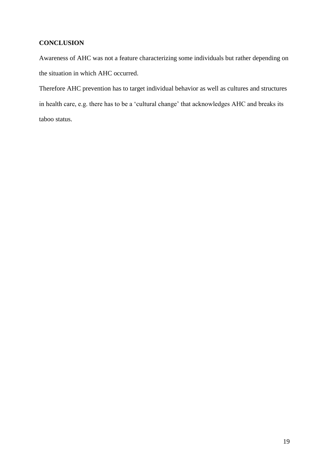# **CONCLUSION**

Awareness of AHC was not a feature characterizing some individuals but rather depending on the situation in which AHC occurred.

Therefore AHC prevention has to target individual behavior as well as cultures and structures in health care, e.g. there has to be a 'cultural change' that acknowledges AHC and breaks its taboo status.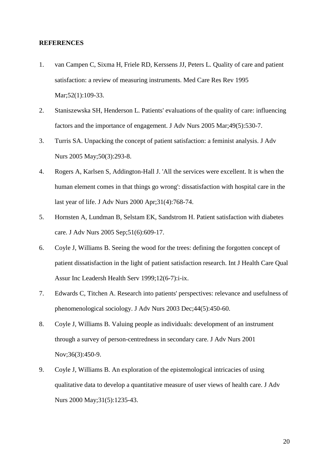#### **REFERENCES**

- 1. van Campen C, Sixma H, Friele RD, Kerssens JJ, Peters L. Quality of care and patient satisfaction: a review of measuring instruments. Med Care Res Rev 1995 Mar; 52(1): 109-33.
- 2. Staniszewska SH, Henderson L. Patients' evaluations of the quality of care: influencing factors and the importance of engagement. J Adv Nurs 2005 Mar;49(5):530-7.
- 3. Turris SA. Unpacking the concept of patient satisfaction: a feminist analysis. J Adv Nurs 2005 May;50(3):293-8.
- 4. Rogers A, Karlsen S, Addington-Hall J. 'All the services were excellent. It is when the human element comes in that things go wrong': dissatisfaction with hospital care in the last year of life. J Adv Nurs 2000 Apr;31(4):768-74.
- 5. Hornsten A, Lundman B, Selstam EK, Sandstrom H. Patient satisfaction with diabetes care. J Adv Nurs 2005 Sep;51(6):609-17.
- 6. Coyle J, Williams B. Seeing the wood for the trees: defining the forgotten concept of patient dissatisfaction in the light of patient satisfaction research. Int J Health Care Qual Assur Inc Leadersh Health Serv 1999;12(6-7):i-ix.
- 7. Edwards C, Titchen A. Research into patients' perspectives: relevance and usefulness of phenomenological sociology. J Adv Nurs 2003 Dec;44(5):450-60.
- 8. Coyle J, Williams B. Valuing people as individuals: development of an instrument through a survey of person-centredness in secondary care. J Adv Nurs 2001 Nov:36(3):450-9.
- 9. Coyle J, Williams B. An exploration of the epistemological intricacies of using qualitative data to develop a quantitative measure of user views of health care. J Adv Nurs 2000 May;31(5):1235-43.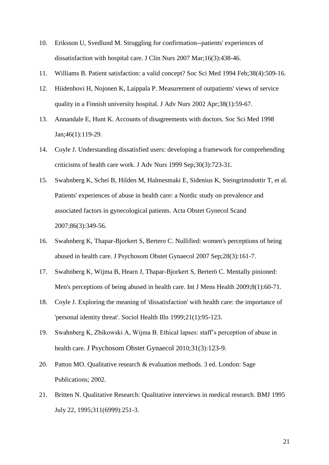- 10. Eriksson U, Svedlund M. Struggling for confirmation--patients' experiences of dissatisfaction with hospital care. J Clin Nurs 2007 Mar;16(3):438-46.
- 11. Williams B. Patient satisfaction: a valid concept? Soc Sci Med 1994 Feb;38(4):509-16.
- 12. Hiidenhovi H, Nojonen K, Laippala P. Measurement of outpatients' views of service quality in a Finnish university hospital. J Adv Nurs 2002 Apr;38(1):59-67.
- 13. Annandale E, Hunt K. Accounts of disagreements with doctors. Soc Sci Med 1998 Jan;46(1):119-29.
- 14. Coyle J. Understanding dissatisfied users: developing a framework for comprehending criticisms of health care work. J Adv Nurs 1999 Sep;30(3):723-31.
- 15. Swahnberg K, Schei B, Hilden M, Halmesmaki E, Sidenius K, Steingrimsdottir T, et al. Patients' experiences of abuse in health care: a Nordic study on prevalence and associated factors in gynecological patients. Acta Obstet Gynecol Scand 2007;86(3):349-56.
- 16. Swahnberg K, Thapar-Bjorkert S, Bertero C. Nullified: women's perceptions of being abused in health care. J Psychosom Obstet Gynaecol 2007 Sep;28(3):161-7.
- 17. Swahnberg K, Wijma B, Hearn J, Thapar-Bjorkert S, Berterö C. Mentally pinioned: Men's perceptions of being abused in health care. Int J Mens Health 2009;8(1):60-71.
- 18. Coyle J. Exploring the meaning of 'dissatisfaction' with health care: the importance of 'personal identity threat'. Sociol Health Illn 1999;21(1):95-123.
- 19. Swahnberg K, Zbikowski A, Wijma B. Ethical lapses: staff"s perception of abuse in health care. J Psychosom Obstet Gynaecol 2010;31(3):123-9.
- 20. Patton MO. Qualitative research & evaluation methods. 3 ed. London: Sage Publications; 2002.
- 21. Britten N. Qualitative Research: Qualitative interviews in medical research. BMJ 1995 July 22, 1995;311(6999):251-3.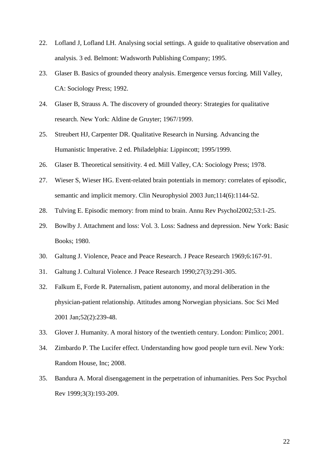- 22. Lofland J, Lofland LH. Analysing social settings. A guide to qualitative observation and analysis. 3 ed. Belmont: Wadsworth Publishing Company; 1995.
- 23. Glaser B. Basics of grounded theory analysis. Emergence versus forcing. Mill Valley, CA: Sociology Press; 1992.
- 24. Glaser B, Strauss A. The discovery of grounded theory: Strategies for qualitative research. New York: Aldine de Gruyter; 1967/1999.
- 25. Streubert HJ, Carpenter DR. Qualitative Research in Nursing. Advancing the Humanistic Imperative. 2 ed. Philadelphia: Lippincott; 1995/1999.
- 26. Glaser B. Theoretical sensitivity. 4 ed. Mill Valley, CA: Sociology Press; 1978.
- 27. Wieser S, Wieser HG. Event-related brain potentials in memory: correlates of episodic, semantic and implicit memory. Clin Neurophysiol 2003 Jun;114(6):1144-52.
- 28. Tulving E. Episodic memory: from mind to brain. Annu Rev Psychol2002;53:1-25.
- 29. Bowlby J. Attachment and loss: Vol. 3. Loss: Sadness and depression. New York: Basic Books; 1980.
- 30. Galtung J. Violence, Peace and Peace Research. J Peace Research 1969;6:167-91.
- 31. Galtung J. Cultural Violence. J Peace Research 1990;27(3):291-305.
- 32. Falkum E, Forde R. Paternalism, patient autonomy, and moral deliberation in the physician-patient relationship. Attitudes among Norwegian physicians. Soc Sci Med 2001 Jan;52(2):239-48.
- 33. Glover J. Humanity. A moral history of the twentieth century. London: Pimlico; 2001.
- 34. Zimbardo P. The Lucifer effect. Understanding how good people turn evil. New York: Random House, Inc; 2008.
- 35. Bandura A. Moral disengagement in the perpetration of inhumanities. Pers Soc Psychol Rev 1999;3(3):193-209.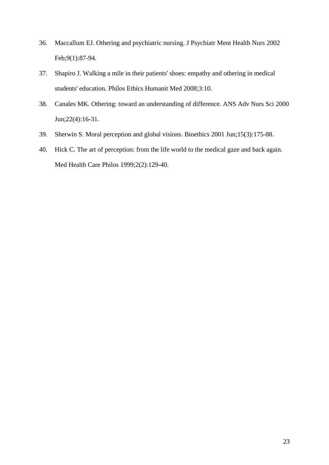- 36. Maccallum EJ. Othering and psychiatric nursing. J Psychiatr Ment Health Nurs 2002 Feb;9(1):87-94.
- 37. Shapiro J. Walking a mile in their patients' shoes: empathy and othering in medical students' education. Philos Ethics Humanit Med 2008;3:10.
- 38. Canales MK. Othering: toward an understanding of difference. ANS Adv Nurs Sci 2000 Jun;22(4):16-31.
- 39. Sherwin S. Moral perception and global visions. Bioethics 2001 Jun;15(3):175-88.
- 40. Hick C. The art of perception: from the life world to the medical gaze and back again. Med Health Care Philos 1999;2(2):129-40.